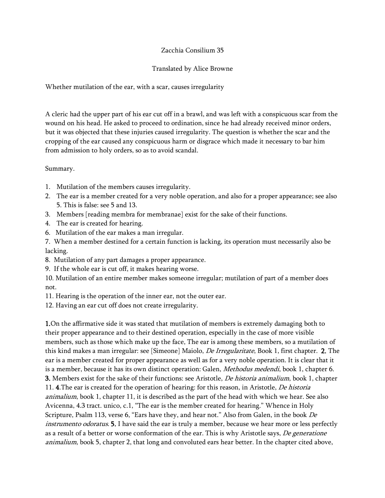## Zacchia Consilium 35

## Translated by Alice Browne

Whether mutilation of the ear, with a scar, causes irregularity

A cleric had the upper part of his ear cut off in a brawl, and was left with a conspicuous scar from the wound on his head. He asked to proceed to ordination, since he had already received minor orders, but it was objected that these injuries caused irregularity. The question is whether the scar and the cropping of the ear caused any conspicuous harm or disgrace which made it necessary to bar him from admission to holy orders, so as to avoid scandal.

Summary.

- 1. Mutilation of the members causes irregularity.
- 2. The ear is a member created for a very noble operation, and also for a proper appearance; see also 5. This is false: see 5 and 13.
- 3. Members [reading membra for membranae] exist for the sake of their functions.
- 4. The ear is created for hearing.
- 6. Mutilation of the ear makes a man irregular.

7. When a member destined for a certain function is lacking, its operation must necessarily also be lacking.

- 8. Mutilation of any part damages a proper appearance.
- 9. If the whole ear is cut off, it makes hearing worse.
- 10. Mutilation of an entire member makes someone irregular; mutilation of part of a member does not.
- 11. Hearing is the operation of the inner ear, not the outer ear.

12. Having an ear cut off does not create irregularity.

1.On the affirmative side it was stated that mutilation of members is extremely damaging both to their proper appearance and to their destined operation, especially in the case of more visible members, such as those which make up the face, The ear is among these members, so a mutilation of this kind makes a man irregular: see [Simeone] Maiolo, *De Irregularitate*, Book 1, first chapter. 2. The ear is a member created for proper appearance as well as for a very noble operation. It is clear that it is a member, because it has its own distinct operation: Galen, Methodus medendi, book 1, chapter 6. 3. Members exist for the sake of their functions: see Aristotle, *De historia animalium*, book 1, chapter 11. 4. The ear is created for the operation of hearing: for this reason, in Aristotle, *De historia* animalium, book 1, chapter 11, it is described as the part of the head with which we hear. See also Avicenna, 4.3 tract. unico, c.1, "The ear is the member created for hearing." Whence in Holy Scripture, Psalm 113, verse 6, "Ears have they, and hear not." Also from Galen, in the book De instrumento odoratus. **5.** I have said the ear is truly a member, because we hear more or less perfectly as a result of a better or worse conformation of the ear. This is why Aristotle says, De generatione animalium, book 5, chapter 2, that long and convoluted ears hear better. In the chapter cited above,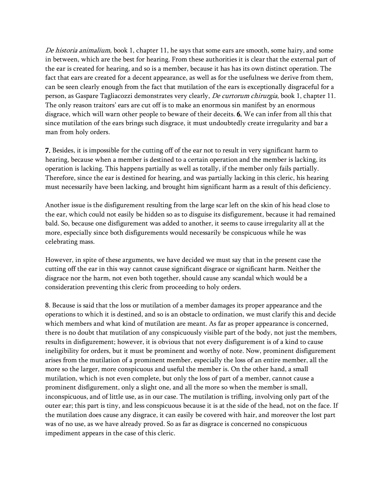De historia animalium, book 1, chapter 11, he says that some ears are smooth, some hairy, and some in between, which are the best for hearing. From these authorities it is clear that the external part of the ear is created for hearing, and so is a member, because it has has its own distinct operation. The fact that ears are created for a decent appearance, as well as for the usefulness we derive from them, can be seen clearly enough from the fact that mutilation of the ears is exceptionally disgraceful for a person, as Gaspare Tagliacozzi demonstrates very clearly, De curtorum chirurgia, book 1, chapter 11. The only reason traitors' ears are cut off is to make an enormous sin manifest by an enormous disgrace, which will warn other people to beware of their deceits. 6. We can infer from all this that since mutilation of the ears brings such disgrace, it must undoubtedly create irregularity and bar a man from holy orders.

7. Besides, it is impossible for the cutting off of the ear not to result in very significant harm to hearing, because when a member is destined to a certain operation and the member is lacking, its operation is lacking. This happens partially as well as totally, if the member only fails partially. Therefore, since the ear is destined for hearing, and was partially lacking in this cleric, his hearing must necessarily have been lacking, and brought him significant harm as a result of this deficiency.

Another issue is the disfigurement resulting from the large scar left on the skin of his head close to the ear, which could not easily be hidden so as to disguise its disfigurement, because it had remained bald. So, because one disfigurement was added to another, it seems to cause irregularity all at the more, especially since both disfigurements would necessarily be conspicuous while he was celebrating mass.

However, in spite of these arguments, we have decided we must say that in the present case the cutting off the ear in this way cannot cause significant disgrace or significant harm. Neither the disgrace nor the harm, not even both together, should cause any scandal which would be a consideration preventing this cleric from proceeding to holy orders.

8. Because is said that the loss or mutilation of a member damages its proper appearance and the operations to which it is destined, and so is an obstacle to ordination, we must clarify this and decide which members and what kind of mutilation are meant. As far as proper appearance is concerned, there is no doubt that mutilation of any conspicuously visible part of the body, not just the members, results in disfigurement; however, it is obvious that not every disfigurement is of a kind to cause ineligibility for orders, but it must be prominent and worthy of note. Now, prominent disfigurement arises from the mutilation of a prominent member, especially the loss of an entire member, all the more so the larger, more conspicuous and useful the member is. On the other hand, a small mutilation, which is not even complete, but only the loss of part of a member, cannot cause a prominent disfigurement, only a slight one, and all the more so when the member is small, inconspicuous, and of little use, as in our case. The mutilation is trifling, involving only part of the outer ear; this part is tiny, and less conspicuous because it is at the side of the head, not on the face. If the mutilation does cause any disgrace, it can easily be covered with hair, and moreover the lost part was of no use, as we have already proved. So as far as disgrace is concerned no conspicuous impediment appears in the case of this cleric.